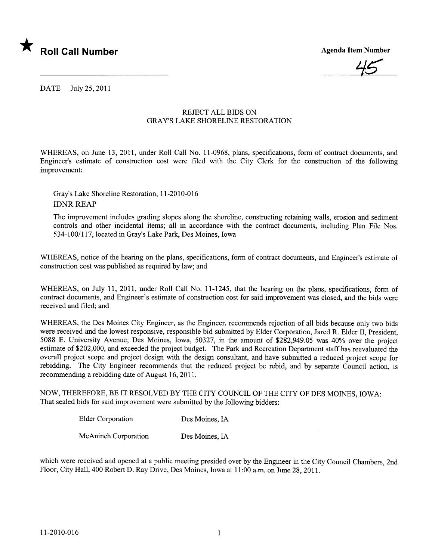

45

DATE July 25,2011

## REJECT ALL BIDS ON GRAY'S LAKE SHORELINE RESTORATION

WHEREAS, on June 13, 2011, under Roll Call No. 11-0968, plans, specifications, form of contract documents, and Engineer's estimate of construction cost were fied with the City Clerk for the construction of the following improvement:

Gray's Lake Shoreline Restoration, 11-2010-016 IDNR REAP

The improvement includes grading slopes along the shoreline, constructing retaining walls, erosion and sediment controls and other incidental items; all in accordance with the contract documents, including Plan File Nos. 534-100/117, located in Gray's Lake Park, Des Moines, Iowa

WHEREAS, notice of the hearing on the plans, specifications, form of contract documents, and Engineer's estimate of construction cost was published as required by law; and

WHEREAS, on July 11, 2011, under Roll Call No. 11-1245, that the hearing on the plans, specifications, form of contract documents, and Engineer's estimate of construction cost for said improvement was closed, and the bids were received and filed; and

WHEREAS, the Des Moines City Engineer, as the Engineer, recommends rejection of all bids because only two bids were received and the lowest responsive, responsible bid submitted by Elder Corporation, Jared R. Elder II, President, 5088 E. University Avenue, Des Moines, Iowa, 50327, in the amount of \$282,949.05 was 40% over the project estimate of \$202,000, and exceeded the project budget. The Park and Recreation Department staff has reevaluated the overall project scope and project design with the design consultant, and have submitted a reduced project scope for rebidding. The City Engineer recommends that the reduced project be rebid, and by separate Council action, is recommending a rebidding date of August 16, 2011.

NOW, THEREFORE, BE IT RESOLVED BY THE CITY COUNCIL OF THE CITY OF DES MOINES, IOWA: That sealed bids for said improvement were submitted by the following bidders:

| <b>Elder Corporation</b>    | Des Moines, IA |
|-----------------------------|----------------|
| <b>McAninch Corporation</b> | Des Moines, IA |

which were received and opened at a public meeting presided over by the Engineer in the City Council Chambers, 2nd Floor, City Hall, 400 Robert D. Ray Drive, Des Moines, Iowa at 11:00 a.m. on June 28, 2011.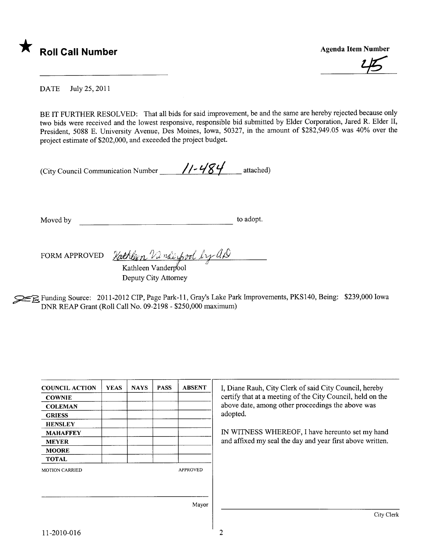

**Agenda Item Number** 

DATE July 25, 2011

BE IT FURTHER RESOLVED: That all bids for said improvement, be and the same are hereby rejected because only two bids were received and the lowest responsive, responsible bid submitted by Elder Corporation, Jared R. Elder II, President, 5088 E. University Avenue, Des Moines, Iowa, 50327, in the amount of \$282,949.05 was 40% over the project estimate of \$202,000, and exceeded the project budget.

(City Council Communication Number  $\frac{11-484}{\pi}$  attached)

Moved by to adopt.

FORM APPROVED Kothleen Vinderbool by ap

Kathleen Vanderpool Deputy City Attorney

ER Funding Source: 2011-2012 CIP, Page Park-11, Gray's Lake Park Improvements, PKS140, Being: \$239,000 Iowa DNR REAP Grant (Roll Call No. 09-2198 - \$250,000 maximum)

| <b>COUNCIL ACTION</b> | <b>YEAS</b> | <b>NAYS</b> | <b>PASS</b> | <b>ABSENT</b>   | I, Diane Rauh, City Clerk of said City Council, hereby<br>certify that at a meeting of the City Council, held on the     |  |
|-----------------------|-------------|-------------|-------------|-----------------|--------------------------------------------------------------------------------------------------------------------------|--|
| <b>COWNIE</b>         |             |             |             |                 |                                                                                                                          |  |
| <b>COLEMAN</b>        |             |             |             |                 | above date, among other proceedings the above was                                                                        |  |
| <b>GRIESS</b>         |             |             |             |                 | adopted.<br>IN WITNESS WHEREOF, I have hereunto set my hand<br>and affixed my seal the day and year first above written. |  |
| <b>HENSLEY</b>        |             |             |             |                 |                                                                                                                          |  |
| <b>MAHAFFEY</b>       |             |             |             |                 |                                                                                                                          |  |
| <b>MEYER</b>          |             |             |             |                 |                                                                                                                          |  |
| <b>MOORE</b>          |             |             |             |                 |                                                                                                                          |  |
| <b>TOTAL</b>          |             |             |             |                 |                                                                                                                          |  |
| <b>MOTION CARRIED</b> |             |             |             | <b>APPROVED</b> |                                                                                                                          |  |
|                       |             |             |             |                 |                                                                                                                          |  |
|                       |             |             |             | Mayor           |                                                                                                                          |  |
|                       |             |             |             |                 | City Clerk                                                                                                               |  |
|                       |             |             |             |                 |                                                                                                                          |  |